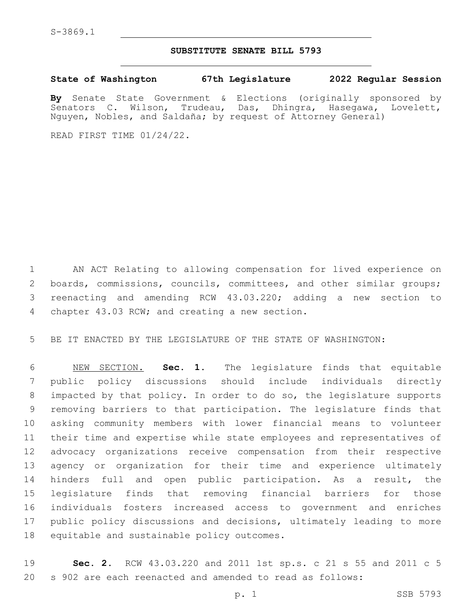## **SUBSTITUTE SENATE BILL 5793**

**State of Washington 67th Legislature 2022 Regular Session**

**By** Senate State Government & Elections (originally sponsored by Senators C. Wilson, Trudeau, Das, Dhingra, Hasegawa, Lovelett, Nguyen, Nobles, and Saldaña; by request of Attorney General)

READ FIRST TIME 01/24/22.

 AN ACT Relating to allowing compensation for lived experience on 2 boards, commissions, councils, committees, and other similar groups; reenacting and amending RCW 43.03.220; adding a new section to 4 chapter 43.03 RCW; and creating a new section.

BE IT ENACTED BY THE LEGISLATURE OF THE STATE OF WASHINGTON:

 NEW SECTION. **Sec. 1.** The legislature finds that equitable public policy discussions should include individuals directly impacted by that policy. In order to do so, the legislature supports removing barriers to that participation. The legislature finds that asking community members with lower financial means to volunteer their time and expertise while state employees and representatives of advocacy organizations receive compensation from their respective agency or organization for their time and experience ultimately hinders full and open public participation. As a result, the legislature finds that removing financial barriers for those individuals fosters increased access to government and enriches public policy discussions and decisions, ultimately leading to more equitable and sustainable policy outcomes.

 **Sec. 2.** RCW 43.03.220 and 2011 1st sp.s. c 21 s 55 and 2011 c 5 s 902 are each reenacted and amended to read as follows: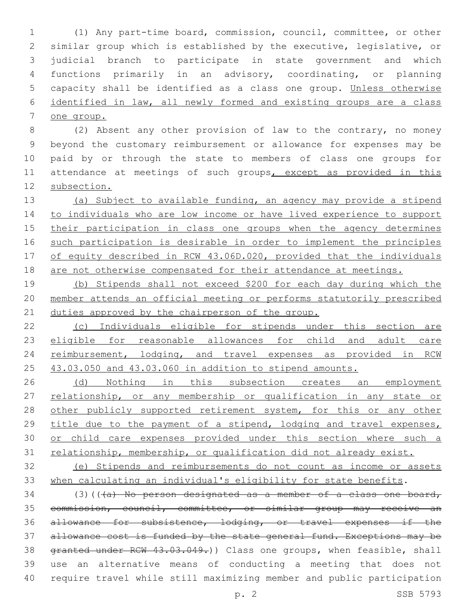(1) Any part-time board, commission, council, committee, or other similar group which is established by the executive, legislative, or judicial branch to participate in state government and which functions primarily in an advisory, coordinating, or planning capacity shall be identified as a class one group. Unless otherwise identified in law, all newly formed and existing groups are a class one group.

 (2) Absent any other provision of law to the contrary, no money beyond the customary reimbursement or allowance for expenses may be paid by or through the state to members of class one groups for 11 attendance at meetings of such groups, except as provided in this subsection.

 (a) Subject to available funding, an agency may provide a stipend 14 to individuals who are low income or have lived experience to support 15 their participation in class one groups when the agency determines such participation is desirable in order to implement the principles of equity described in RCW 43.06D.020, provided that the individuals are not otherwise compensated for their attendance at meetings.

 (b) Stipends shall not exceed \$200 for each day during which the member attends an official meeting or performs statutorily prescribed 21 duties approved by the chairperson of the group.

 (c) Individuals eligible for stipends under this section are 23 eligible for reasonable allowances for child and adult care 24 reimbursement, lodging, and travel expenses as provided in RCW 43.03.050 and 43.03.060 in addition to stipend amounts.

26 (d) Nothing in this subsection creates an employment 27 relationship, or any membership or qualification in any state or 28 other publicly supported retirement system, for this or any other 29 title due to the payment of a stipend, lodging and travel expenses, 30 or child care expenses provided under this section where such a 31 relationship, membership, or qualification did not already exist.

 (e) Stipends and reimbursements do not count as income or assets when calculating an individual's eligibility for state benefits.

 (3)(( $\overline{(a)}$  No person designated as a member of a class one board, commission, council, committee, or similar group may receive an allowance for subsistence, lodging, or travel expenses if the 37 allowance cost is funded by the state general fund. Exceptions may be 38 granted under RCW 43.03.049.)) Class one groups, when feasible, shall use an alternative means of conducting a meeting that does not require travel while still maximizing member and public participation